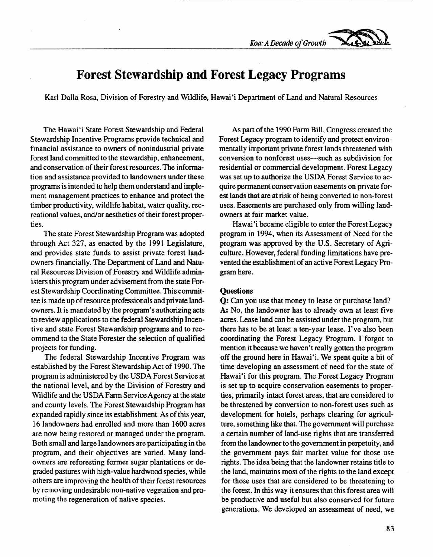*Koa: A Decade of Growth* 

## **Forest Stewardship and Forest Legacy Programs**

Karl Dalla Rosa, Division of Forestry and Wildlife, Hawai'i Department of Land and Natural Resources

The Hawai'i State Forest Stewardship and Federal Stewardship Incentive Programs provide technical and financial assistance to owners of nonindustrial private forest land committed to the stewardship, enhancement, and conservation of their forest resources. The information and assistance provided to landowners under these programs is intended to help them understand and implement management practices to enhance and protect the timber productivity, wildlife habitat, water quality, recreational values, and/or aesthetics of their forest properties.

The state Forest Stewardship Program was adopted through Act 327, as enacted by the 1991 Legislature, and provides state funds to assist private forest landowners financially. The Department of Land and Natural Resources Division of Forestry and Wildlife administers this program under advisement from the state Forest Stewardship Coordinating Committee. This committee is made up of resource professionals and private landowners. It is mandated by the program's authorizing acts to review applications to the federal Stewardship Incentive and state Forest Stewardship programs and to recommend to the State Forester the selection of qualified projects for funding.

The federal Stewardship Incentive Program was established by the Forest Stewardship Act of 1990. The program is administered by the USDA Forest Service at the national level, and by the Division of Forestry and Wildlife and the USDA Farm Service Agency at the state and county levels. The Forest Stewardship Program has expanded rapidly since its establishment. As of this year, 16 landowners had enrolled and more than 1600 acres are now being restored or managed under the program. Both small and large landowners are participating in the program, and their objectives are varied. Many landowners are reforesting former sugar plantations or degraded pastures with high-value hardwood species, while others are improving the health of their forest resources by removing undesirable non-native vegetation and promoting the regeneration of native species.

As part of the 1990 Farm Bill, Congress created the Forest Legacy program to identify and protect environmentally important private forest lands threatened with conversion to nonforest uses-such as subdivision for residential or commercial development. Forest Legacy was set up to authorize the USDA Forest Service to acquire permanent conservation easements on private forest lands that are at risk of being converted to non-forest uses. Easements are purchased only from willing landowners at fair market value.

Hawai'i became eligible to enter the Forest Legacy program in 1994, when its Assessment of Need for the program was approved by the U.S. Secretary of Agriculture. However, federal funding limitations have prevented the establishment of an active Forest Legacy Program here.

## **Questions**

Q: Can you use that money to lease or purchase land? A: No, the landowner has to already own at least five acres. Lease land can be assisted under the program, but there has to be at least a ten-year lease. I've also been coordinating the Forest Legacy Program. I forgot to mention it because we haven't really gotten the program off the ground here in Hawai'i. We spent quite a bit of time developing an assessment of need for the state of Hawai'i for this program. The Forest Legacy Program is set up to acquire conservation easements to properties, primarily intact forest areas, that are considered to be threatened by conversion to non-forest uses such as development for hotels, perhaps clearing for agriculture, something like that. The government will purchase a certain number of land-use rights that are transferred from the landowner to the government in perpetuity, and the government pays fair market value for those use rights. The idea being that the landowner retains title to the land, maintains most of the rights to the land except for those uses that are considered to be threatening to the forest. In this way it ensures that this forest area will be productive and useful but also conserved for future generations. We developed an assessment of need, we